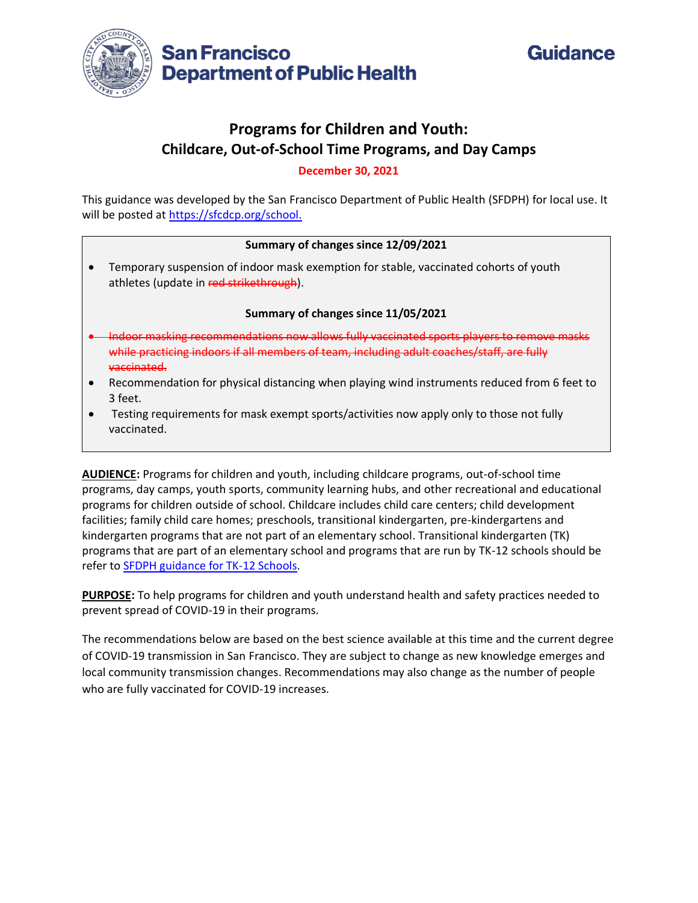



# **Programs for Children and Youth: Childcare, Out-of-School Time Programs, and Day Camps**

**December 30, 2021**

This guidance was developed by the San Francisco Department of Public Health (SFDPH) for local use. It will be posted at [https://sfcdcp.org/school.](https://sfcdcp.org/school)

#### **Summary of changes since 12/09/2021**

• Temporary suspension of indoor mask exemption for stable, vaccinated cohorts of youth athletes (update in red strikethrough).

#### **Summary of changes since 11/05/2021**

- Indoor masking recommendations now allows fully vaccinated sports players to remove masks while practicing indoors if all members of team, including adult coaches/staff, are fully vaccinated.
- Recommendation for physical distancing when playing wind instruments reduced from 6 feet to 3 feet.
- Testing requirements for mask exempt sports/activities now apply only to those not fully vaccinated.

**AUDIENCE:** Programs for children and youth, including childcare programs, out-of-school time programs, day camps, youth sports, community learning hubs, and other recreational and educational programs for children outside of school. Childcare includes child care centers; child development facilities; family child care homes; preschools, transitional kindergarten, pre-kindergartens and kindergarten programs that are not part of an elementary school. Transitional kindergarten (TK) programs that are part of an elementary school and programs that are run by TK-12 schools should be refer to [SFDPH guidance for TK-12 Schools.](https://www.sfdph.org/dph/alerts/covid-guidance/2020-33-Guidance-TK12-Schools.pdf)

**PURPOSE:** To help programs for children and youth understand health and safety practices needed to prevent spread of COVID-19 in their programs.

The recommendations below are based on the best science available at this time and the current degree of COVID-19 transmission in San Francisco. They are subject to change as new knowledge emerges and local community transmission changes. Recommendations may also change as the number of people who are fully vaccinated for COVID-19 increases.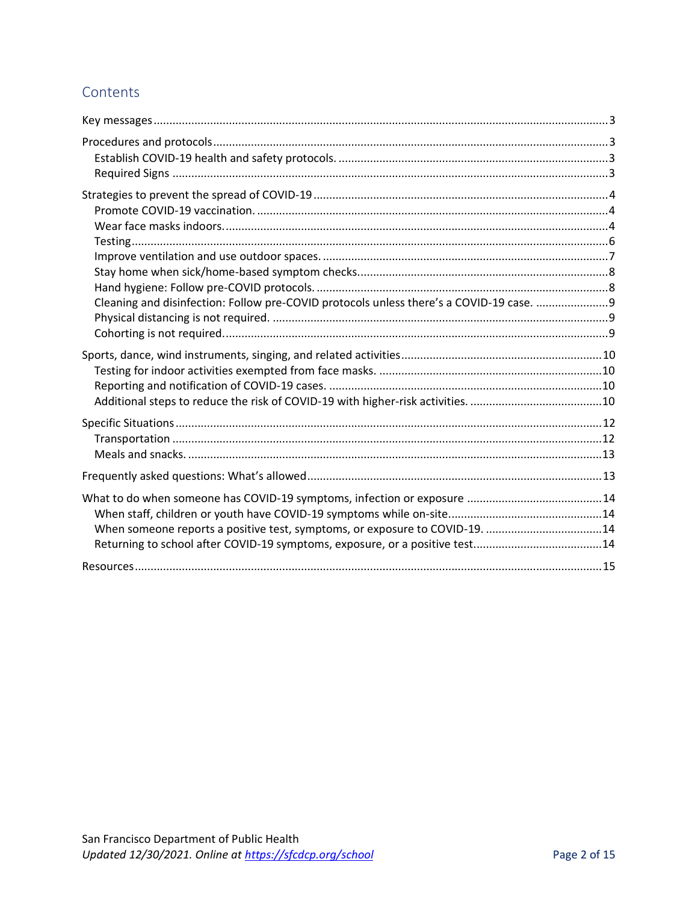# Contents

| Cleaning and disinfection: Follow pre-COVID protocols unless there's a COVID-19 case. 9 |  |
|-----------------------------------------------------------------------------------------|--|
|                                                                                         |  |
|                                                                                         |  |
|                                                                                         |  |
| When someone reports a positive test, symptoms, or exposure to COVID-19. 14             |  |
|                                                                                         |  |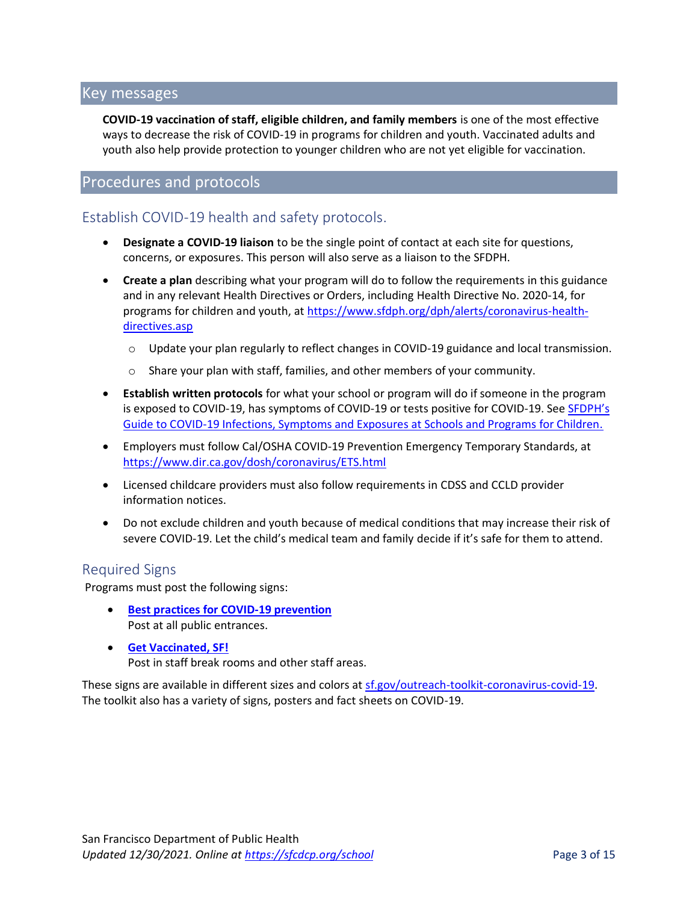# Key messages

**COVID-19 vaccination of staff, eligible children, and family members** is one of the most effective ways to decrease the risk of COVID-19 in programs for children and youth. Vaccinated adults and youth also help provide protection to younger children who are not yet eligible for vaccination.

### Procedures and protocols

### Establish COVID-19 health and safety protocols.

- **Designate a COVID-19 liaison** to be the single point of contact at each site for questions, concerns, or exposures. This person will also serve as a liaison to the SFDPH.
- **Create a plan** describing what your program will do to follow the requirements in this guidance and in any relevant Health Directives or Orders, including Health Directive No. 2020-14, for programs for children and youth, a[t https://www.sfdph.org/dph/alerts/coronavirus-health](https://www.sfdph.org/dph/alerts/coronavirus-health-directives.asp)[directives.asp](https://www.sfdph.org/dph/alerts/coronavirus-health-directives.asp)
	- o Update your plan regularly to reflect changes in COVID-19 guidance and local transmission.
	- o Share your plan with staff, families, and other members of your community.
- **Establish written protocols** for what your school or program will do if someone in the program is exposed to COVID-19, has symptoms of COVID-19 or tests positive for COVID-19. See [SFDPH's](https://www.sfdph.org/dph/covid-19/schools-isolation-and-quarantine.asp)  [Guide to COVID-19 Infections, Symptoms and Exposures at Schools and Programs for Children.](https://www.sfdph.org/dph/covid-19/schools-isolation-and-quarantine.asp)
- Employers must follow Cal/OSHA COVID-19 Prevention Emergency Temporary Standards, at <https://www.dir.ca.gov/dosh/coronavirus/ETS.html>
- Licensed childcare providers must also follow requirements in CDSS and CCLD provider information notices.
- Do not exclude children and youth because of medical conditions that may increase their risk of severe COVID-19. Let the child's medical team and family decide if it's safe for them to attend.

### Required Signs

Programs must post the following signs:

- **[Best practices for COVID-19 prevention](https://sf.gov/sites/default/files/2021-08/BestPractices-8.5x11-green-060921_0.pdf)** Post at all public entrances.
- **[Get Vaccinated, SF!](https://sf.gov/sites/default/files/2021-06/GetVaccinated-white-8.5x11-060821.pdf)** Post in staff break rooms and other staff areas.

These signs are available in different sizes and colors a[t sf.gov/outreach-toolkit-coronavirus-covid-19.](https://sf.gov/outreach-toolkit-coronavirus-covid-19) The toolkit also has a variety of signs, posters and fact sheets on COVID-19.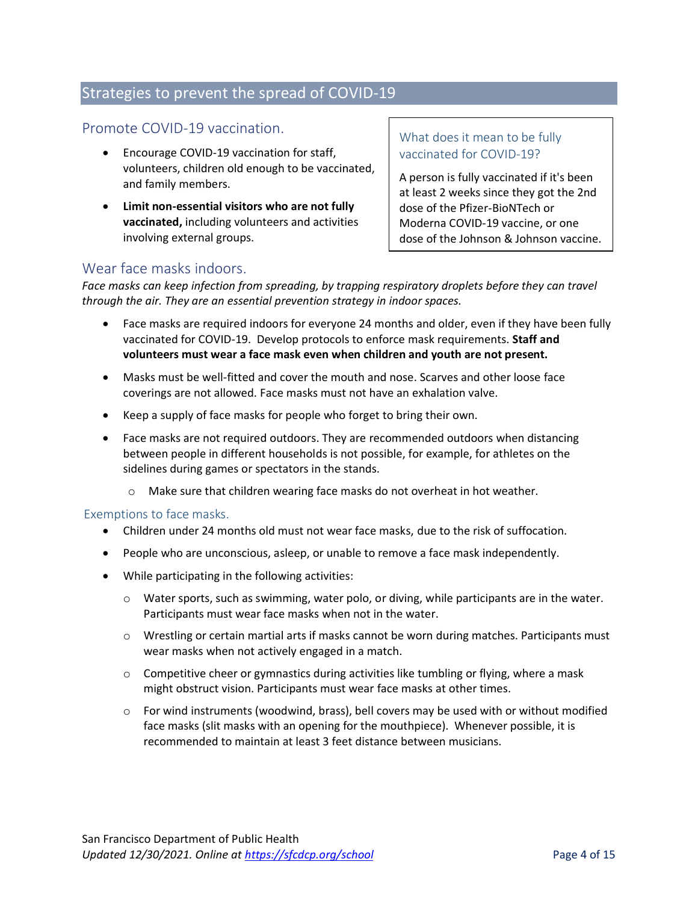# Strategies to prevent the spread of COVID-19

### Promote COVID-19 vaccination.

- Encourage COVID-19 vaccination for staff, volunteers, children old enough to be vaccinated, and family members.
- **Limit non-essential visitors who are not fully vaccinated,** including volunteers and activities involving external groups.

What does it mean to be fully vaccinated for COVID-19?

A person is fully vaccinated if it's been at least 2 weeks since they got the 2nd dose of the Pfizer-BioNTech or Moderna COVID-19 vaccine, or one dose of the Johnson & Johnson vaccine.

### Wear face masks indoors.

*Face masks can keep infection from spreading, by trapping respiratory droplets before they can travel through the air. They are an essential prevention strategy in indoor spaces.*

- Face masks are required indoors for everyone 24 months and older, even if they have been fully vaccinated for COVID-19. Develop protocols to enforce mask requirements. **Staff and volunteers must wear a face mask even when children and youth are not present.**
- Masks must be well-fitted and cover the mouth and nose. Scarves and other loose face coverings are not allowed. Face masks must not have an exhalation valve.
- Keep a supply of face masks for people who forget to bring their own.
- Face masks are not required outdoors. They are recommended outdoors when distancing between people in different households is not possible, for example, for athletes on the sidelines during games or spectators in the stands.
	- o Make sure that children wearing face masks do not overheat in hot weather.

#### Exemptions to face masks.

- Children under 24 months old must not wear face masks, due to the risk of suffocation.
- People who are unconscious, asleep, or unable to remove a face mask independently.
- While participating in the following activities:
	- $\circ$  Water sports, such as swimming, water polo, or diving, while participants are in the water. Participants must wear face masks when not in the water.
	- $\circ$  Wrestling or certain martial arts if masks cannot be worn during matches. Participants must wear masks when not actively engaged in a match.
	- $\circ$  Competitive cheer or gymnastics during activities like tumbling or flying, where a mask might obstruct vision. Participants must wear face masks at other times.
	- $\circ$  For wind instruments (woodwind, brass), bell covers may be used with or without modified face masks (slit masks with an opening for the mouthpiece). Whenever possible, it is recommended to maintain at least 3 feet distance between musicians.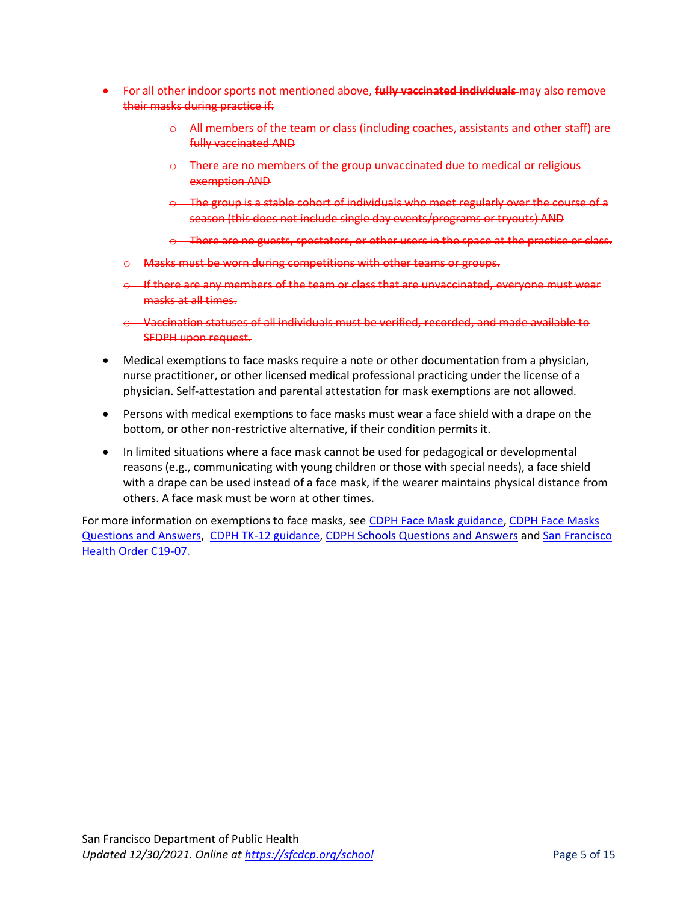- For all other indoor sports not mentioned above, **fully vaccinated individuals** may also remove their masks during practice if:
	- $\Theta$  All members of the team or class (including coaches, assistants and other staff) are fully vaccinated AND
	- $\Theta$  There are no members of the group unvaccinated due to medical or religious exemption AND
	- $\odot$  The group is a stable cohort of individuals who meet regularly over the course of a season (this does not include single day events/programs or tryouts) AND
	- o There are no guests, spectators, or other users in the space at the practice or class.
	- Masks must be worn during competitions with other teams or groups.
	- $\Theta$  If there are any members of the team or class that are unvaccinated, everyone must wear masks at all times.
	- o Vaccination statuses of all individuals must be verified, recorded, and made available to SFDPH upon request.
- Medical exemptions to face masks require a note or other documentation from a physician, nurse practitioner, or other licensed medical professional practicing under the license of a physician. Self-attestation and parental attestation for mask exemptions are not allowed.
- Persons with medical exemptions to face masks must wear a face shield with a drape on the bottom, or other non-restrictive alternative, if their condition permits it.
- In limited situations where a face mask cannot be used for pedagogical or developmental reasons (e.g., communicating with young children or those with special needs), a face shield with a drape can be used instead of a face mask, if the wearer maintains physical distance from others. A face mask must be worn at other times.

For more information on exemptions to face masks, see [CDPH Face Mask guidance,](https://www.cdph.ca.gov/Programs/CID/DCDC/Pages/COVID-19/guidance-for-face-coverings.aspx) [CDPH Face Masks](https://www.cdph.ca.gov/Programs/CID/DCDC/Pages/COVID-19/Face-Coverings-QA.aspx)  [Questions and Answers,](https://www.cdph.ca.gov/Programs/CID/DCDC/Pages/COVID-19/Face-Coverings-QA.aspx) [CDPH TK-12 guidance,](https://www.cdph.ca.gov/Programs/CID/DCDC/Pages/COVID-19/K-12-Guidance-2021-22-School-Year.aspx) [CDPH Schools Questions and Answers](https://www.cdph.ca.gov/Programs/CID/DCDC/Pages/COVID-19/Schools-FAQ.aspx) and [San Francisco](https://www.sfdph.org/dph/alerts/coronavirus-healthorders.asp)  [Health Order C19-07.](https://www.sfdph.org/dph/alerts/coronavirus-healthorders.asp)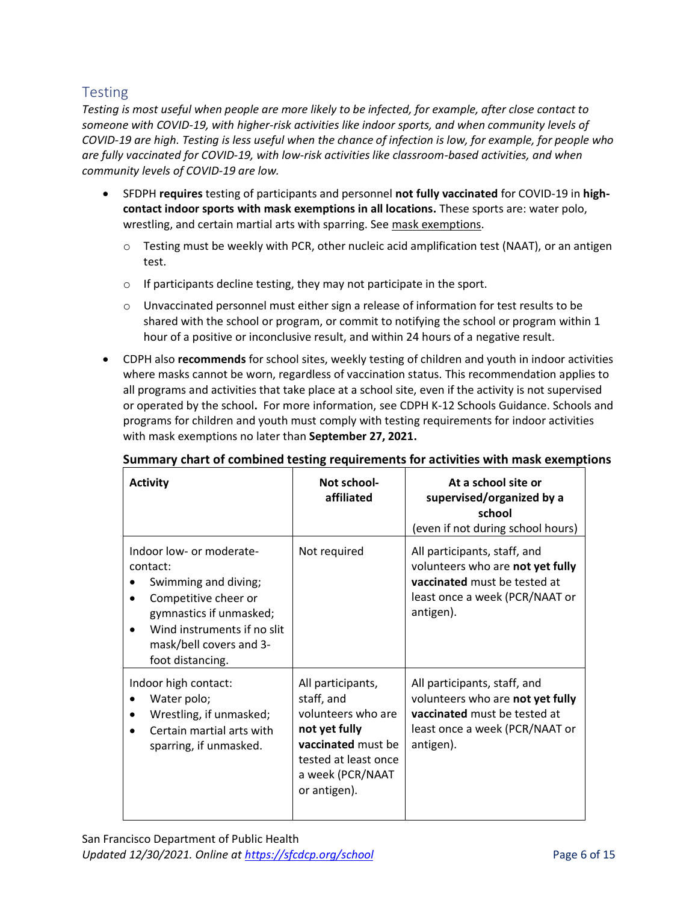# **Testing**

*Testing is most useful when people are more likely to be infected, for example, after close contact to someone with COVID-19, with higher-risk activities like indoor sports, and when community levels of COVID-19 are high. Testing is less useful when the chance of infection is low, for example, for people who are fully vaccinated for COVID-19, with low-risk activities like classroom-based activities, and when community levels of COVID-19 are low.* 

- SFDPH **requires** testing of participants and personnel **not fully vaccinated** for COVID-19 in **highcontact indoor sports with mask exemptions in all locations.** These sports are: water polo, wrestling, and certain martial arts with sparring. See mask exemptions.
	- $\circ$  Testing must be weekly with PCR, other nucleic acid amplification test (NAAT), or an antigen test.
	- o If participants decline testing, they may not participate in the sport.
	- $\circ$  Unvaccinated personnel must either sign a release of information for test results to be shared with the school or program, or commit to notifying the school or program within 1 hour of a positive or inconclusive result, and within 24 hours of a negative result.
- CDPH also **recommends** for school sites, weekly testing of children and youth in indoor activities where masks cannot be worn, regardless of vaccination status. This recommendation applies to all programs and activities that take place at a school site, even if the activity is not supervised or operated by the school**.** For more information, see [CDPH K-12 Schools Guidance.](https://www.cdph.ca.gov/Programs/CID/DCDC/Pages/COVID-19/Schools-FAQ.aspx) Schools and programs for children and youth must comply with testing requirements for indoor activities with mask exemptions no later than **September 27, 2021.**

| <b>Activity</b>                                                                                                                                                                                                         | Not school-<br>affiliated                                                                                                                                | At a school site or<br>supervised/organized by a<br>school<br>(even if not during school hours)                                                 |
|-------------------------------------------------------------------------------------------------------------------------------------------------------------------------------------------------------------------------|----------------------------------------------------------------------------------------------------------------------------------------------------------|-------------------------------------------------------------------------------------------------------------------------------------------------|
| Indoor low- or moderate-<br>contact:<br>Swimming and diving;<br>Competitive cheer or<br>$\bullet$<br>gymnastics if unmasked;<br>Wind instruments if no slit<br>$\bullet$<br>mask/bell covers and 3-<br>foot distancing. | Not required                                                                                                                                             | All participants, staff, and<br>volunteers who are not yet fully<br>vaccinated must be tested at<br>least once a week (PCR/NAAT or<br>antigen). |
| Indoor high contact:<br>Water polo;<br>Wrestling, if unmasked;<br>Certain martial arts with<br>sparring, if unmasked.                                                                                                   | All participants,<br>staff, and<br>volunteers who are<br>not yet fully<br>vaccinated must be<br>tested at least once<br>a week (PCR/NAAT<br>or antigen). | All participants, staff, and<br>volunteers who are not yet fully<br>vaccinated must be tested at<br>least once a week (PCR/NAAT or<br>antigen). |

### **Summary chart of combined testing requirements for activities with mask exemptions**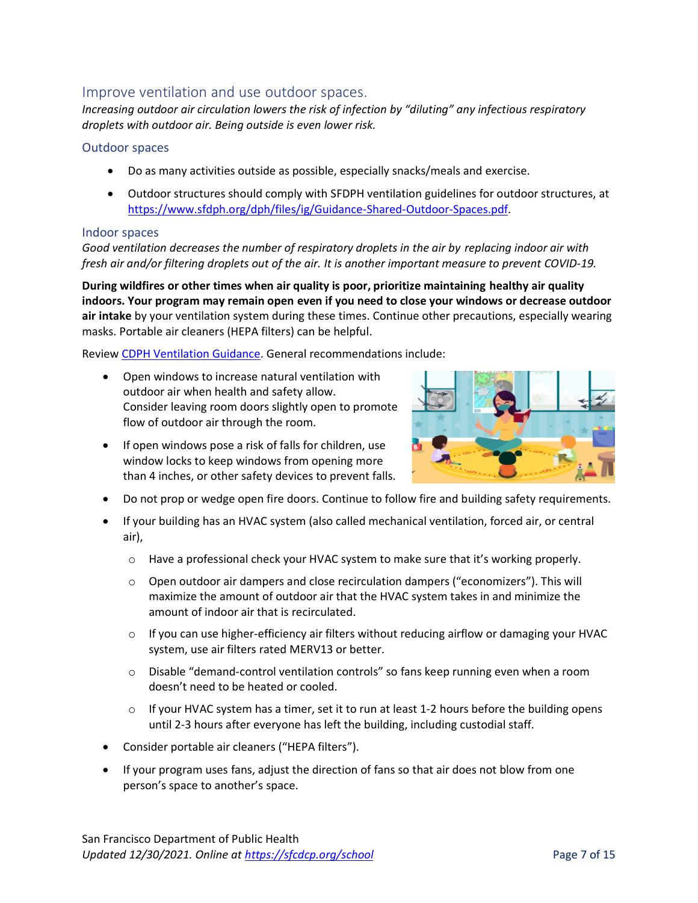### Improve ventilation and use outdoor spaces.

*Increasing outdoor air circulation lowers the risk of infection by "diluting" any infectious respiratory droplets with outdoor air. Being outside is even lower risk.*

#### Outdoor spaces

- Do as many activities outside as possible, especially snacks/meals and exercise.
- Outdoor structures should comply with SFDPH ventilation guidelines for outdoor structures, at [https://www.sfdph.org/dph/files/ig/Guidance-Shared-Outdoor-Spaces.pdf.](https://www.sfdph.org/dph/files/ig/Guidance-Shared-Outdoor-Spaces.pdf)

#### Indoor spaces

*Good ventilation decreases the number of respiratory droplets in the air by replacing indoor air with fresh air and/or filtering droplets out of the air. It is another important measure to prevent COVID-19.* 

**During wildfires or other times when air quality is poor, prioritize maintaining healthy air quality indoors. Your program may remain open even if you need to close your windows or decrease outdoor air intake** by your ventilation system during these times. Continue other precautions, especially wearing masks. Portable air cleaners (HEPA filters) can be helpful.

Review [CDPH Ventilation Guidance.](https://www.cdph.ca.gov/Programs/CID/DCDC/Pages/COVID-19/Interim-Guidance-for-Ventilation-Filtration-and-Air-Quality-in-Indoor-Environments.aspx) General recommendations include:

• Open windows to increase natural ventilation with outdoor air when health and safety allow. Consider leaving room doors slightly open to promote flow of outdoor air through the room.



- If open windows pose a risk of falls for children, use window locks to keep windows from opening more than 4 inches, or other safety devices to prevent falls.
- Do not prop or wedge open fire doors. Continue to follow fire and building safety requirements.
- If your building has an HVAC system (also called mechanical ventilation, forced air, or central air),
	- o Have a professional check your HVAC system to make sure that it's working properly.
	- o Open outdoor air dampers and close recirculation dampers ("economizers"). This will maximize the amount of outdoor air that the HVAC system takes in and minimize the amount of indoor air that is recirculated.
	- $\circ$  If you can use higher-efficiency air filters without reducing airflow or damaging your HVAC system, use air filters rated MERV13 or better.
	- o Disable "demand-control ventilation controls" so fans keep running even when a room doesn't need to be heated or cooled.
	- $\circ$  If your HVAC system has a timer, set it to run at least 1-2 hours before the building opens until 2-3 hours after everyone has left the building, including custodial staff.
- Consider portable air cleaners ("HEPA filters").
- If your program uses fans, adjust the direction of fans so that air does not blow from one person's space to another's space.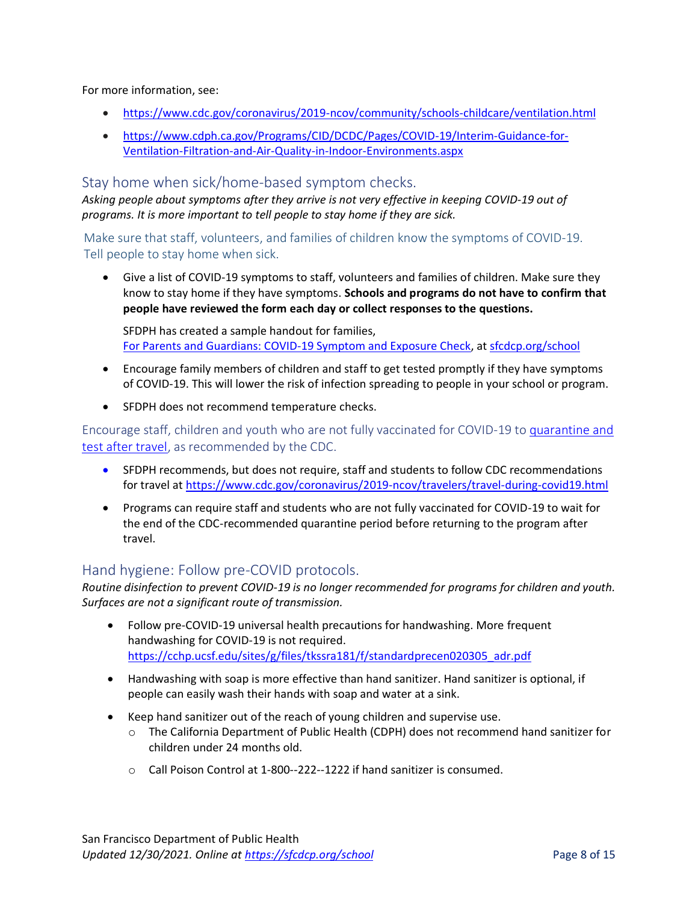For more information, see:

- <https://www.cdc.gov/coronavirus/2019-ncov/community/schools-childcare/ventilation.html>
- [https://www.cdph.ca.gov/Programs/CID/DCDC/Pages/COVID-19/Interim-Guidance-for-](https://www.cdph.ca.gov/Programs/CID/DCDC/Pages/COVID-19/Interim-Guidance-for-Ventilation-Filtration-and-Air-Quality-in-Indoor-Environments.aspx)[Ventilation-Filtration-and-Air-Quality-in-Indoor-Environments.aspx](https://www.cdph.ca.gov/Programs/CID/DCDC/Pages/COVID-19/Interim-Guidance-for-Ventilation-Filtration-and-Air-Quality-in-Indoor-Environments.aspx)

#### Stay home when sick/home-based symptom checks.

*Asking people about symptoms after they arrive is not very effective in keeping COVID-19 out of programs. It is more important to tell people to stay home if they are sick.* 

Make sure that staff, volunteers, and families of children know the symptoms of COVID-19. Tell people to stay home when sick.

• Give a list of COVID-19 symptoms to staff, volunteers and families of children. Make sure they know to stay home if they have symptoms. **Schools and programs do not have to confirm that people have reviewed the form each day or collect responses to the questions.**

SFDPH has created a sample handout for families, [For Parents and Guardians: COVID-19 Symptom and Exposure Check,](https://www.sfdph.org/dph/files/ig/Parent-Guardian-Health-Check-Handout.pdf) a[t sfcdcp.org/school](https://sfcdcp.org/school)

- Encourage family members of children and staff to get tested promptly if they have symptoms of COVID-19. This will lower the risk of infection spreading to people in your school or program.
- SFDPH does not recommend temperature checks.

Encourage staff, children and youth who are not fully vaccinated for COVID-19 to [quarantine and](https://www.cdc.gov/coronavirus/2019-ncov/travelers/travel-during-covid19.html)  [test after travel,](https://www.cdc.gov/coronavirus/2019-ncov/travelers/travel-during-covid19.html) as recommended by the CDC.

- SFDPH recommends, but does not require, staff and students to follow CDC recommendations for travel at<https://www.cdc.gov/coronavirus/2019-ncov/travelers/travel-during-covid19.html>
- Programs can require staff and students who are not fully vaccinated for COVID-19 to wait for the end of the CDC-recommended quarantine period before returning to the program after travel.

### Hand hygiene: Follow pre-COVID protocols.

*Routine disinfection to prevent COVID-19 is no longer recommended for programs for children and youth. Surfaces are not a significant route of transmission.*

- Follow pre-COVID-19 universal health precautions for handwashing. More frequent handwashing for COVID-19 is not required. [https://cchp.ucsf.edu/sites/g/files/tkssra181/f/standardprecen020305\\_adr.pdf](https://cchp.ucsf.edu/sites/g/files/tkssra181/f/standardprecen020305_adr.pdf)
- Handwashing with soap is more effective than hand sanitizer. Hand sanitizer is optional, if people can easily wash their hands with soap and water at a sink.
- Keep hand sanitizer out of the reach of young children and supervise use.
	- o The California Department of Public Health (CDPH) does not recommend hand sanitizer for children under 24 months old.
	- o Call Poison Control at 1-800--222--1222 if hand sanitizer is consumed.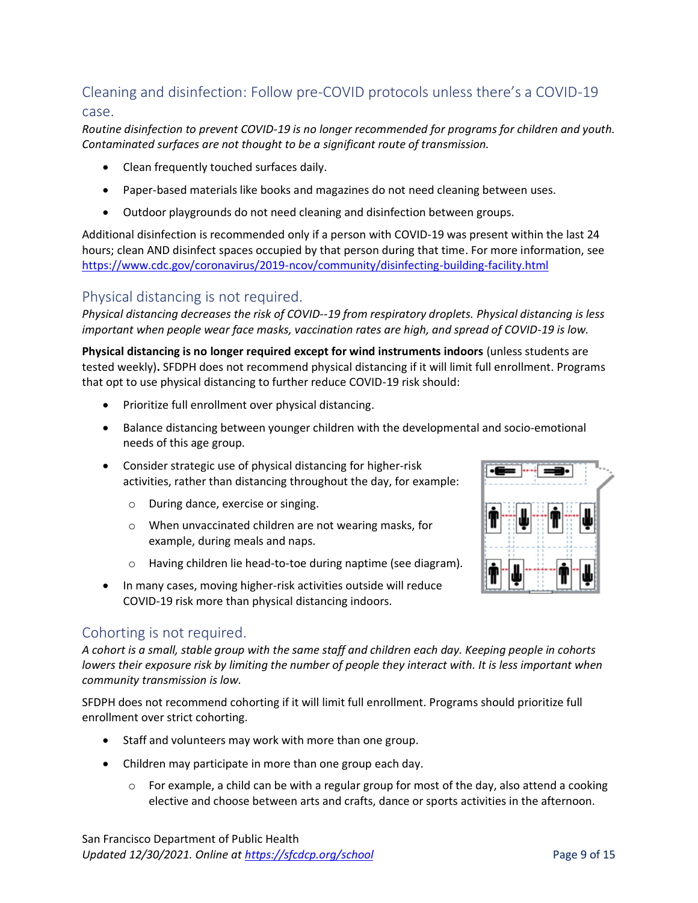# Cleaning and disinfection: Follow pre-COVID protocols unless there's a COVID-19 case.

*Routine disinfection to prevent COVID-19 is no longer recommended for programs for children and youth. Contaminated surfaces are not thought to be a significant route of transmission.*

- Clean frequently touched surfaces daily.
- Paper-based materials like books and magazines do not need cleaning between uses.
- Outdoor playgrounds do not need cleaning and disinfection between groups.

Additional disinfection is recommended only if a person with COVID-19 was present within the last 24 hours; clean AND disinfect spaces occupied by that person during that time. For more information, see <https://www.cdc.gov/coronavirus/2019-ncov/community/disinfecting-building-facility.html>

### Physical distancing is not required.

*Physical distancing decreases the risk of COVID--19 from respiratory droplets. Physical distancing is less important when people wear face masks, vaccination rates are high, and spread of COVID-19 is low.*

**Physical distancing is no longer required except for wind instruments indoors** (unless students are tested weekly)**.** SFDPH does not recommend physical distancing if it will limit full enrollment. Programs that opt to use physical distancing to further reduce COVID-19 risk should:

- Prioritize full enrollment over physical distancing.
- Balance distancing between younger children with the developmental and socio-emotional needs of this age group.
- Consider strategic use of physical distancing for higher-risk activities, rather than distancing throughout the day, for example:
	- o During dance, exercise or singing.
	- o When unvaccinated children are not wearing masks, for example, during meals and naps.
	- o Having children lie head-to-toe during naptime (see diagram).
- In many cases, moving higher-risk activities outside will reduce COVID-19 risk more than physical distancing indoors.



### Cohorting is not required.

*A cohort is a small, stable group with the same staff and children each day. Keeping people in cohorts lowers their exposure risk by limiting the number of people they interact with. It is less important when community transmission is low.*

SFDPH does not recommend cohorting if it will limit full enrollment. Programs should prioritize full enrollment over strict cohorting.

- Staff and volunteers may work with more than one group.
- Children may participate in more than one group each day.
	- $\circ$  For example, a child can be with a regular group for most of the day, also attend a cooking elective and choose between arts and crafts, dance or sports activities in the afternoon.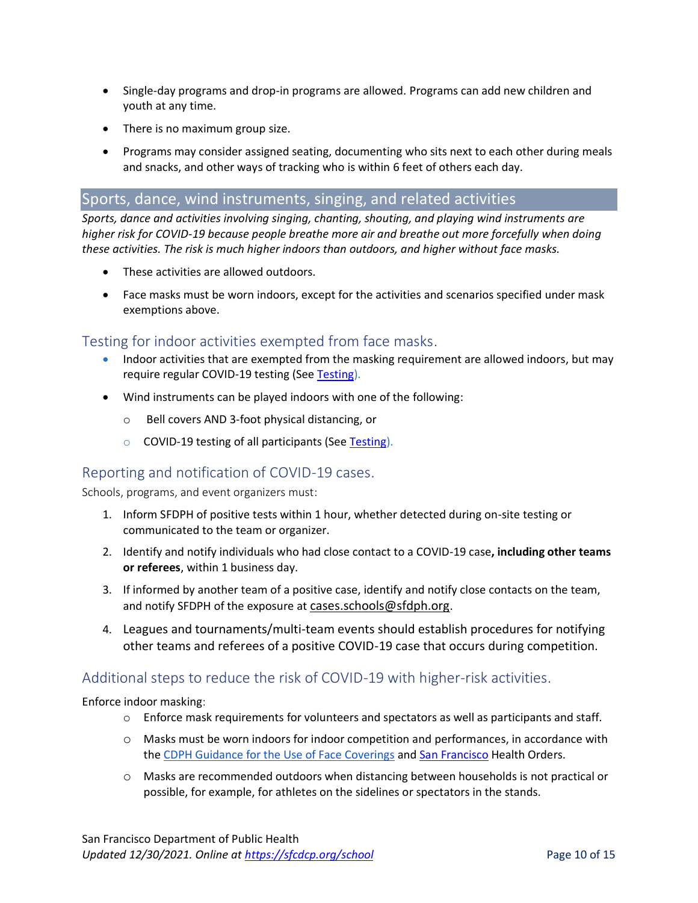- Single-day programs and drop-in programs are allowed. Programs can add new children and youth at any time.
- There is no maximum group size.
- Programs may consider assigned seating, documenting who sits next to each other during meals and snacks, and other ways of tracking who is within 6 feet of others each day.

### Sports, dance, wind instruments, singing, and related activities

*Sports, dance and activities involving singing, chanting, shouting, and playing wind instruments are higher risk for COVID-19 because people breathe more air and breathe out more forcefully when doing these activities. The risk is much higher indoors than outdoors, and higher without face masks.*

- These activities are allowed outdoors.
- Face masks must be worn indoors, except for the activities and scenarios specified under mask exemptions above.

### Testing for indoor activities exempted from face masks.

- Indoor activities that are exempted from the masking requirement are allowed indoors, but may require regular COVID-19 testing (See Testing).
- Wind instruments can be played indoors with one of the following:
	- o Bell covers AND 3-foot physical distancing, or
	- o COVID-19 testing of all participants (See Testing).

### Reporting and notification of COVID-19 cases.

Schools, programs, and event organizers must:

- 1. Inform SFDPH of positive tests within 1 hour, whether detected during on-site testing or communicated to the team or organizer.
- 2. Identify and notify individuals who had close contact to a COVID-19 case**, including other teams or referees**, within 1 business day.
- 3. If informed by another team of a positive case, identify and notify close contacts on the team, and notify SFDPH of the exposure at [cases.schools@sfdph.org.](mailto:cases.schools@sfdph.org)
- 4. Leagues and tournaments/multi-team events should establish procedures for notifying other teams and referees of a positive COVID-19 case that occurs during competition.

### Additional steps to reduce the risk of COVID-19 with higher-risk activities.

Enforce indoor masking:

- $\circ$  Enforce mask requirements for volunteers and spectators as well as participants and staff.
- o Masks must be worn indoors for indoor competition and performances, in accordance with th[e CDPH Guidance for the Use of Face Coverings](https://www.cdph.ca.gov/Programs/CID/DCDC/Pages/COVID-19/guidance-for-face-coverings.aspx) and [San Francisco](https://www.sfdph.org/dph/alerts/coronavirus-healthorders.asp) Health Orders.
- o Masks are recommended outdoors when distancing between households is not practical or possible, for example, for athletes on the sidelines or spectators in the stands.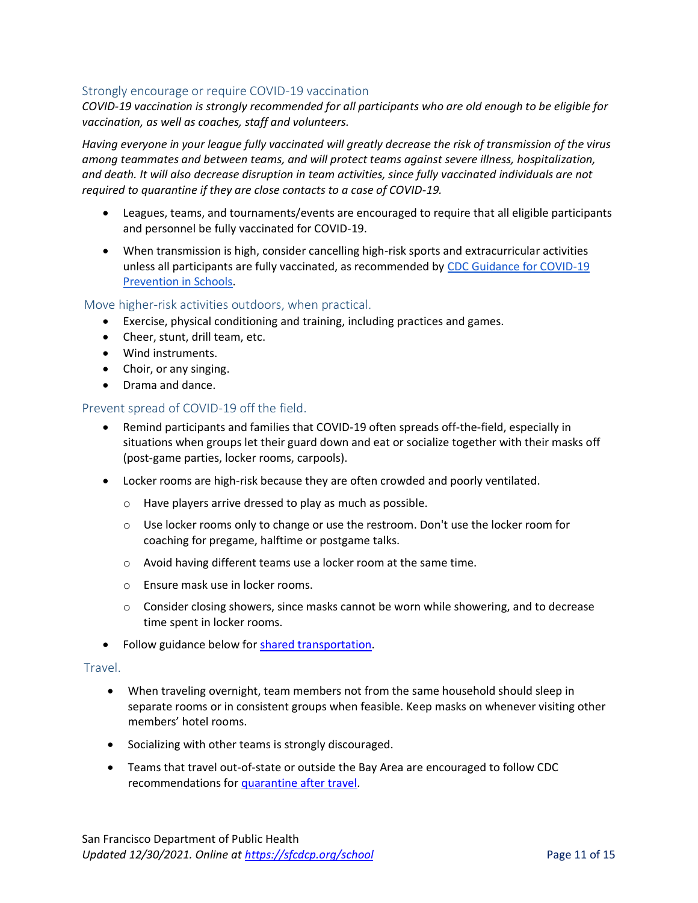#### Strongly encourage or require COVID-19 vaccination

*COVID-19 vaccination is strongly recommended for all participants who are old enough to be eligible for vaccination, as well as coaches, staff and volunteers.* 

*Having everyone in your league fully vaccinated will greatly decrease the risk of transmission of the virus among teammates and between teams, and will protect teams against severe illness, hospitalization, and death. It will also decrease disruption in team activities, since fully vaccinated individuals are not required to quarantine if they are close contacts to a case of COVID-19.*

- Leagues, teams, and tournaments/events are encouraged to require that all eligible participants and personnel be fully vaccinated for COVID-19.
- When transmission is high, consider cancelling high-risk sports and extracurricular activities unless all participants are fully vaccinated, as recommended by [CDC Guidance for COVID-19](https://www.cdc.gov/coronavirus/2019-ncov/community/schools-childcare/k-12-guidance.html#indicators)  [Prevention in Schools.](https://www.cdc.gov/coronavirus/2019-ncov/community/schools-childcare/k-12-guidance.html#indicators)

#### Move higher-risk activities outdoors, when practical.

- Exercise, physical conditioning and training, including practices and games.
- Cheer, stunt, drill team, etc.
- Wind instruments.
- Choir, or any singing.
- Drama and dance.

#### Prevent spread of COVID-19 off the field.

- Remind participants and families that COVID-19 often spreads off-the-field, especially in situations when groups let their guard down and eat or socialize together with their masks off (post-game parties, locker rooms, carpools).
- Locker rooms are high-risk because they are often crowded and poorly ventilated.
	- o Have players arrive dressed to play as much as possible.
	- $\circ$  Use locker rooms only to change or use the restroom. Don't use the locker room for coaching for pregame, halftime or postgame talks.
	- o Avoid having different teams use a locker room at the same time.
	- o Ensure mask use in locker rooms.
	- $\circ$  Consider closing showers, since masks cannot be worn while showering, and to decrease time spent in locker rooms.
- Follow guidance below for shared transportation.

#### Travel.

- When traveling overnight, team members not from the same household should sleep in separate rooms or in consistent groups when feasible. Keep masks on whenever visiting other members' hotel rooms.
- Socializing with other teams is strongly discouraged.
- Teams that travel out-of-state or outside the Bay Area are encouraged to follow CDC recommendations for [quarantine after travel](https://www.cdc.gov/coronavirus/2019-ncov/travelers/travel-during-covid19.html)*.*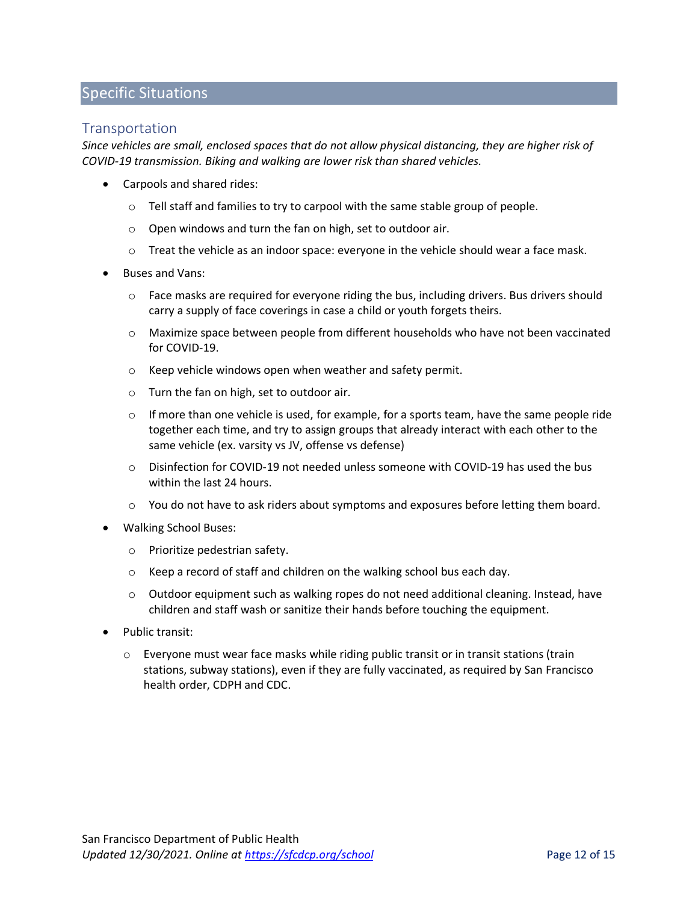### Specific Situations

### **Transportation**

*Since vehicles are small, enclosed spaces that do not allow physical distancing, they are higher risk of COVID-19 transmission. Biking and walking are lower risk than shared vehicles.*

- Carpools and shared rides:
	- o Tell staff and families to try to carpool with the same stable group of people.
	- o Open windows and turn the fan on high, set to outdoor air.
	- o Treat the vehicle as an indoor space: everyone in the vehicle should wear a face mask.
- Buses and Vans:
	- $\circ$  Face masks are required for everyone riding the bus, including drivers. Bus drivers should carry a supply of face coverings in case a child or youth forgets theirs.
	- o Maximize space between people from different households who have not been vaccinated for COVID-19.
	- o Keep vehicle windows open when weather and safety permit.
	- o Turn the fan on high, set to outdoor air.
	- $\circ$  If more than one vehicle is used, for example, for a sports team, have the same people ride together each time, and try to assign groups that already interact with each other to the same vehicle (ex. varsity vs JV, offense vs defense)
	- $\circ$  Disinfection for COVID-19 not needed unless someone with COVID-19 has used the bus within the last 24 hours.
	- o You do not have to ask riders about symptoms and exposures before letting them board.
- Walking School Buses:
	- o Prioritize pedestrian safety.
	- o Keep a record of staff and children on the walking school bus each day.
	- $\circ$  Outdoor equipment such as walking ropes do not need additional cleaning. Instead, have children and staff wash or sanitize their hands before touching the equipment.
- Public transit:
	- $\circ$  Everyone must wear face masks while riding public transit or in transit stations (train stations, subway stations), even if they are fully vaccinated, as required by San Francisco health order, CDPH and CDC.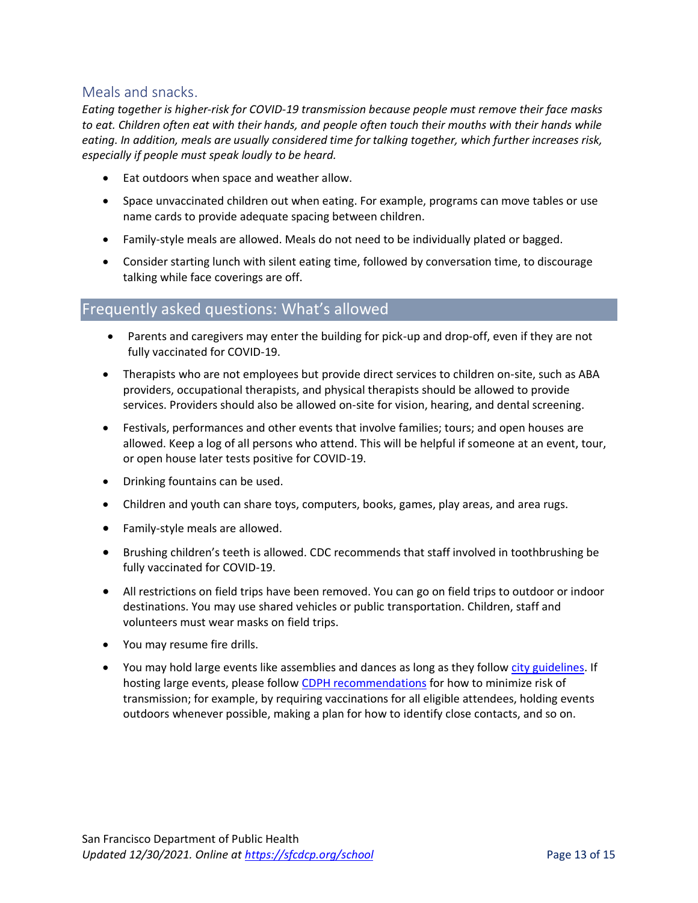### Meals and snacks.

*Eating together is higher-risk for COVID-19 transmission because people must remove their face masks to eat. Children often eat with their hands, and people often touch their mouths with their hands while eating. In addition, meals are usually considered time for talking together, which further increases risk, especially if people must speak loudly to be heard.* 

- Eat outdoors when space and weather allow.
- Space unvaccinated children out when eating. For example, programs can move tables or use name cards to provide adequate spacing between children.
- Family-style meals are allowed. Meals do not need to be individually plated or bagged.
- Consider starting lunch with silent eating time, followed by conversation time, to discourage talking while face coverings are off.

### Frequently asked questions: What's allowed

- Parents and caregivers may enter the building for pick-up and drop-off, even if they are not fully vaccinated for COVID-19.
- Therapists who are not employees but provide direct services to children on-site, such as ABA providers, occupational therapists, and physical therapists should be allowed to provide services. Providers should also be allowed on-site for vision, hearing, and dental screening.
- Festivals, performances and other events that involve families; tours; and open houses are allowed. Keep a log of all persons who attend. This will be helpful if someone at an event, tour, or open house later tests positive for COVID-19.
- Drinking fountains can be used.
- Children and youth can share toys, computers, books, games, play areas, and area rugs.
- Family-style meals are allowed.
- Brushing children's teeth is allowed. CDC recommends that staff involved in toothbrushing be fully vaccinated for COVID-19.
- All restrictions on field trips have been removed. You can go on field trips to outdoor or indoor destinations. You may use shared vehicles or public transportation. Children, staff and volunteers must wear masks on field trips.
- You may resume fire drills.
- You may hold large events like assemblies and dances as long as they follow [city guidelines.](https://www.sfdph.org/dph/alerts/files/C19-07-Mega-and-Large-Event-Chart.pdf) If hosting large events, please follow [CDPH recommendations](https://www.cdph.ca.gov/Programs/CID/DCDC/Pages/COVID-19/Schools-FAQ.aspx) for how to minimize risk of transmission; for example, by requiring vaccinations for all eligible attendees, holding events outdoors whenever possible, making a plan for how to identify close contacts, and so on.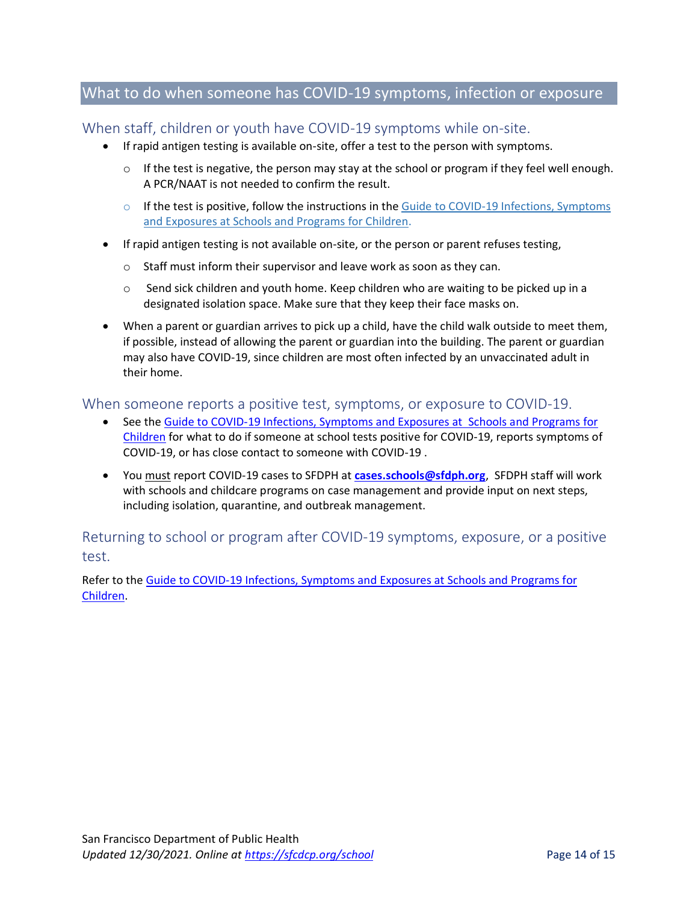## What to do when someone has COVID-19 symptoms, infection or exposure

### When staff, children or youth have COVID-19 symptoms while on-site.

- If rapid antigen testing is available on-site, offer a test to the person with symptoms.
	- $\circ$  If the test is negative, the person may stay at the school or program if they feel well enough. A PCR/NAAT is not needed to confirm the result.
	- o If the test is positive, follow the instructions in the Guide to COVID-19 Infections, Symptoms [and Exposures at Schools and Programs for Children.](https://www.sfdph.org/dph/covid-19/schools-isolation-and-quarantine.asp#steps)
- If rapid antigen testing is not available on-site, or the person or parent refuses testing,
	- o Staff must inform their supervisor and leave work as soon as they can.
	- $\circ$  Send sick children and youth home. Keep children who are waiting to be picked up in a designated isolation space. Make sure that they keep their face masks on.
- When a parent or guardian arrives to pick up a child, have the child walk outside to meet them, if possible, instead of allowing the parent or guardian into the building. The parent or guardian may also have COVID-19, since children are most often infected by an unvaccinated adult in their home.

### When someone reports a positive test, symptoms, or exposure to COVID-19.

- See the Guide to [COVID-19 Infections, Symptoms and Exposures at Schools and Programs for](https://www.sfdph.org/dph/covid-19/schools-isolation-and-quarantine.asp)  [Children](https://www.sfdph.org/dph/covid-19/schools-isolation-and-quarantine.asp) for what to do if someone at school tests positive for COVID-19, reports symptoms of COVID-19, or has close contact to someone with COVID-19 .
- You must report COVID-19 cases to SFDPH at **[cases.schools@sfdph.org](mailto:cases.schools@sfdph.org)**, SFDPH staff will work with schools and childcare programs on case management and provide input on next steps, including isolation, quarantine, and outbreak management.

Returning to school or program after COVID-19 symptoms, exposure, or a positive test.

Refer to the Guide to COVID-19 [Infections, Symptoms and Exposures at Schools and Programs for](https://www.sfdph.org/dph/covid-19/schools-isolation-and-quarantine.asp#return)  [Children.](https://www.sfdph.org/dph/covid-19/schools-isolation-and-quarantine.asp#return)